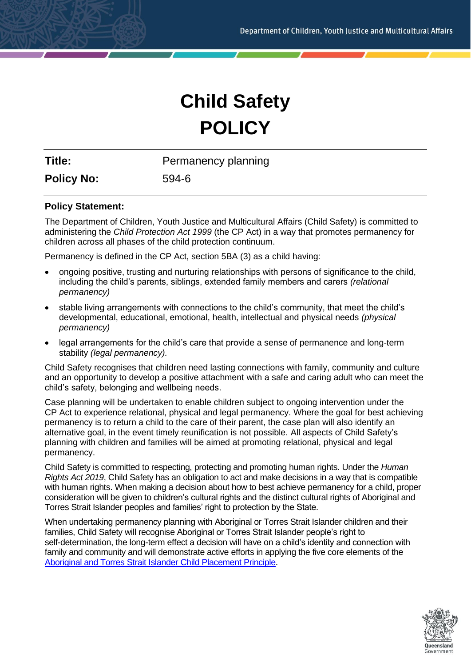# **Child Safety POLICY**

**Title:** Permanency planning

**Policy No:** 594-6

# **Policy Statement:**

The Department of Children, Youth Justice and Multicultural Affairs (Child Safety) is committed to administering the *Child Protection Act 1999* (the CP Act) in a way that promotes permanency for children across all phases of the child protection continuum.

Permanency is defined in the CP Act, section 5BA (3) as a child having:

- ongoing positive, trusting and nurturing relationships with persons of significance to the child, including the child's parents, siblings, extended family members and carers *(relational permanency)*
- stable living arrangements with connections to the child's community, that meet the child's developmental, educational, emotional, health, intellectual and physical needs *(physical permanency)*
- legal arrangements for the child's care that provide a sense of permanence and long-term stability *(legal permanency).*

Child Safety recognises that children need lasting connections with family, community and culture and an opportunity to develop a positive attachment with a safe and caring adult who can meet the child's safety, belonging and wellbeing needs.

Case planning will be undertaken to enable children subject to ongoing intervention under the CP Act to experience relational, physical and legal permanency. Where the goal for best achieving permanency is to return a child to the care of their parent, the case plan will also identify an alternative goal, in the event timely reunification is not possible. All aspects of Child Safety's planning with children and families will be aimed at promoting relational, physical and legal permanency.

Child Safety is committed to respecting, protecting and promoting human rights. Under the *Human Rights Act 2019*, Child Safety has an obligation to act and make decisions in a way that is compatible with human rights. When making a decision about how to best achieve permanency for a child, proper consideration will be given to children's cultural rights and the distinct cultural rights of Aboriginal and Torres Strait Islander peoples and families' right to protection by the State.

When undertaking permanency planning with Aboriginal or Torres Strait Islander children and their families, Child Safety will recognise Aboriginal or Torres Strait Islander people's right to self-determination, the long-term effect a decision will have on a child's identity and connection with family and community and will demonstrate active efforts in applying the five core elements of the [Aboriginal and Torres Strait Islander Child Placement Principle.](https://www.legislation.qld.gov.au/view/html/inforce/current/act-1999-010#sec.5C)

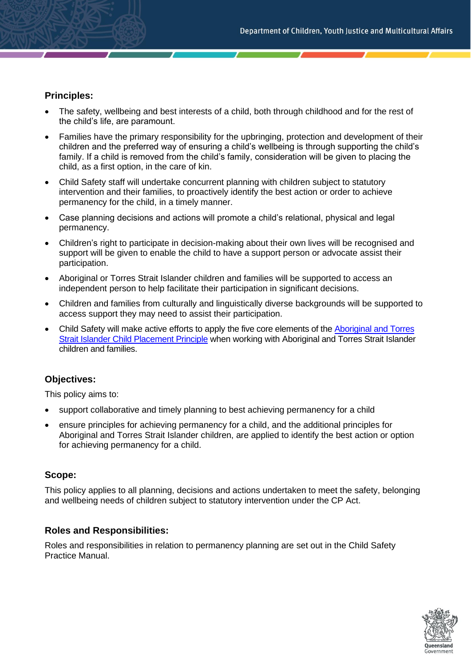# **Principles:**

- The safety, wellbeing and best interests of a child, both through childhood and for the rest of the child's life, are paramount.
- Families have the primary responsibility for the upbringing, protection and development of their children and the preferred way of ensuring a child's wellbeing is through supporting the child's family. If a child is removed from the child's family, consideration will be given to placing the child, as a first option, in the care of kin.
- Child Safety staff will undertake concurrent planning with children subject to statutory intervention and their families, to proactively identify the best action or order to achieve permanency for the child, in a timely manner.
- Case planning decisions and actions will promote a child's relational, physical and legal permanency.
- Children's right to participate in decision-making about their own lives will be recognised and support will be given to enable the child to have a support person or advocate assist their participation.
- Aboriginal or Torres Strait Islander children and families will be supported to access an independent person to help facilitate their participation in significant decisions.
- Children and families from culturally and linguistically diverse backgrounds will be supported to access support they may need to assist their participation.
- Child Safety will make active efforts to apply the five core elements of the [Aboriginal and Torres](https://www.legislation.qld.gov.au/view/html/inforce/current/act-1999-010#sec.5C)  [Strait Islander Child Placement Principle](https://www.legislation.qld.gov.au/view/html/inforce/current/act-1999-010#sec.5C) when working with Aboriginal and Torres Strait Islander children and families.

# **Objectives:**

This policy aims to:

- support collaborative and timely planning to best achieving permanency for a child
- ensure principles for achieving permanency for a child, and the additional principles for Aboriginal and Torres Strait Islander children, are applied to identify the best action or option for achieving permanency for a child.

# **Scope:**

This policy applies to all planning, decisions and actions undertaken to meet the safety, belonging and wellbeing needs of children subject to statutory intervention under the CP Act.

# **Roles and Responsibilities:**

Roles and responsibilities in relation to permanency planning are set out in the Child Safety Practice Manual.

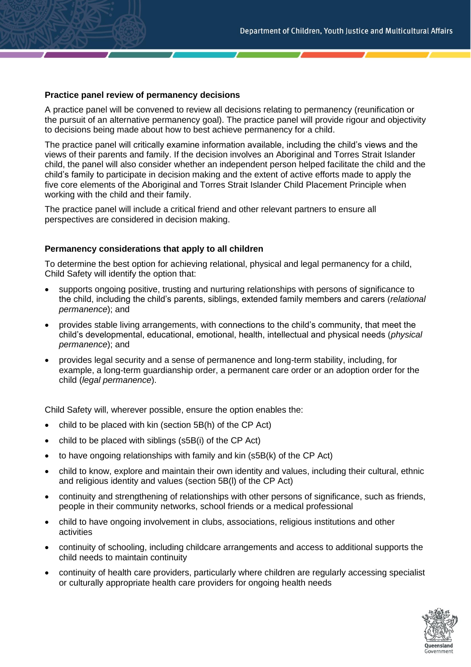#### **Practice panel review of permanency decisions**

A practice panel will be convened to review all decisions relating to permanency (reunification or the pursuit of an alternative permanency goal). The practice panel will provide rigour and objectivity to decisions being made about how to best achieve permanency for a child.

The practice panel will critically examine information available, including the child's views and the views of their parents and family. If the decision involves an Aboriginal and Torres Strait Islander child, the panel will also consider whether an independent person helped facilitate the child and the child's family to participate in decision making and the extent of active efforts made to apply the five core elements of the Aboriginal and Torres Strait Islander Child Placement Principle when working with the child and their family.

The practice panel will include a critical friend and other relevant partners to ensure all perspectives are considered in decision making.

#### **Permanency considerations that apply to all children**

To determine the best option for achieving relational, physical and legal permanency for a child, Child Safety will identify the option that:

- supports ongoing positive, trusting and nurturing relationships with persons of significance to the child, including the child's parents, siblings, extended family members and carers (*relational permanence*); and
- provides stable living arrangements, with connections to the child's community, that meet the child's developmental, educational, emotional, health, intellectual and physical needs (*physical permanence*); and
- provides legal security and a sense of permanence and long-term stability, including, for example, a long-term guardianship order, a permanent care order or an adoption order for the child (*legal permanence*).

Child Safety will, wherever possible, ensure the option enables the:

- child to be placed with kin (section 5B(h) of the CP Act)
- child to be placed with siblings (s5B(i) of the CP Act)
- to have ongoing relationships with family and kin (s5B(k) of the CP Act)
- child to know, explore and maintain their own identity and values, including their cultural, ethnic and religious identity and values (section 5B(l) of the CP Act)
- continuity and strengthening of relationships with other persons of significance, such as friends, people in their community networks, school friends or a medical professional
- child to have ongoing involvement in clubs, associations, religious institutions and other activities
- continuity of schooling, including childcare arrangements and access to additional supports the child needs to maintain continuity
- continuity of health care providers, particularly where children are regularly accessing specialist or culturally appropriate health care providers for ongoing health needs

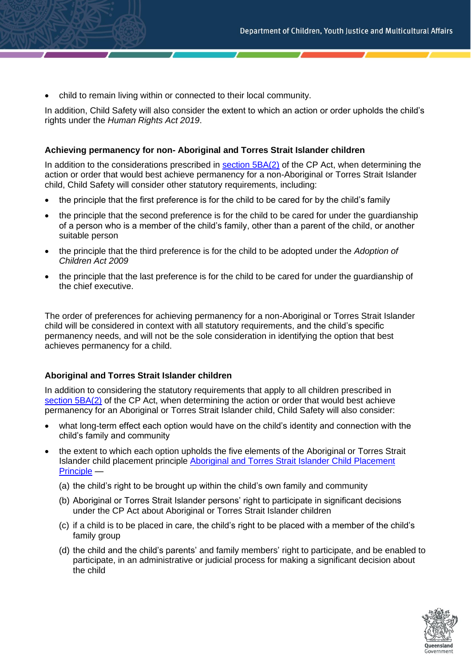• child to remain living within or connected to their local community.

In addition, Child Safety will also consider the extent to which an action or order upholds the child's rights under the *Human Rights Act 2019*.

#### **Achieving permanency for non- Aboriginal and Torres Strait Islander children**

In addition to the considerations prescribed in [section 5BA\(2\)](https://www.legislation.qld.gov.au/view/html/inforce/current/act-1999-010#sec.5BA) of the CP Act, when determining the action or order that would best achieve permanency for a non-Aboriginal or Torres Strait Islander child, Child Safety will consider other statutory requirements, including:

- the principle that the first preference is for the child to be cared for by the child's family
- the principle that the second preference is for the child to be cared for under the guardianship of a person who is a member of the child's family, other than a parent of the child, or another suitable person
- the principle that the third preference is for the child to be adopted under the *Adoption of Children Act 2009*
- the principle that the last preference is for the child to be cared for under the guardianship of the chief executive.

The order of preferences for achieving permanency for a non-Aboriginal or Torres Strait Islander child will be considered in context with all statutory requirements, and the child's specific permanency needs, and will not be the sole consideration in identifying the option that best achieves permanency for a child.

# **Aboriginal and Torres Strait Islander children**

In addition to considering the statutory requirements that apply to all children prescribed in [section](https://www.legislation.qld.gov.au/view/html/inforce/current/act-1999-010#sec.5BA) 5BA(2) of the CP Act, when determining the action or order that would best achieve permanency for an Aboriginal or Torres Strait Islander child, Child Safety will also consider:

- what long-term effect each option would have on the child's identity and connection with the child's family and community
- the extent to which each option upholds the five elements of the Aboriginal or Torres Strait Islander child placement principle [Aboriginal and Torres Strait Islander Child Placement](https://www.legislation.qld.gov.au/view/html/inforce/current/act-1999-010#sec.5C)  [Principle](https://www.legislation.qld.gov.au/view/html/inforce/current/act-1999-010#sec.5C) —
	- (a) the child's right to be brought up within the child's own family and community
	- (b) Aboriginal or Torres Strait Islander persons' right to participate in significant decisions under the CP Act about Aboriginal or Torres Strait Islander children
	- (c) if a child is to be placed in care, the child's right to be placed with a member of the child's family group
	- (d) the child and the child's parents' and family members' right to participate, and be enabled to participate, in an administrative or judicial process for making a significant decision about the child

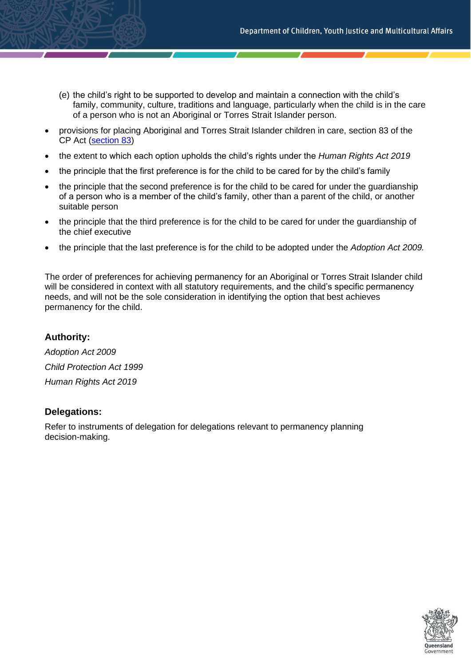- (e) the child's right to be supported to develop and maintain a connection with the child's family, community, culture, traditions and language, particularly when the child is in the care of a person who is not an Aboriginal or Torres Strait Islander person.
- provisions for placing Aboriginal and Torres Strait Islander children in care, section 83 of the CP Act [\(section 83\)](https://www.legislation.qld.gov.au/view/html/inforce/current/act-1999-010#sec.83)
- the extent to which each option upholds the child's rights under the *Human Rights Act 2019*
- the principle that the first preference is for the child to be cared for by the child's family
- the principle that the second preference is for the child to be cared for under the guardianship of a person who is a member of the child's family, other than a parent of the child, or another suitable person
- the principle that the third preference is for the child to be cared for under the guardianship of the chief executive
- the principle that the last preference is for the child to be adopted under the *Adoption Act 2009.*

The order of preferences for achieving permanency for an Aboriginal or Torres Strait Islander child will be considered in context with all statutory requirements, and the child's specific permanency needs, and will not be the sole consideration in identifying the option that best achieves permanency for the child.

# **Authority:**

*Adoption Act 2009 Child Protection Act 1999 Human Rights Act 2019*

# **Delegations:**

Refer to instruments of delegation for delegations relevant to permanency planning decision-making.